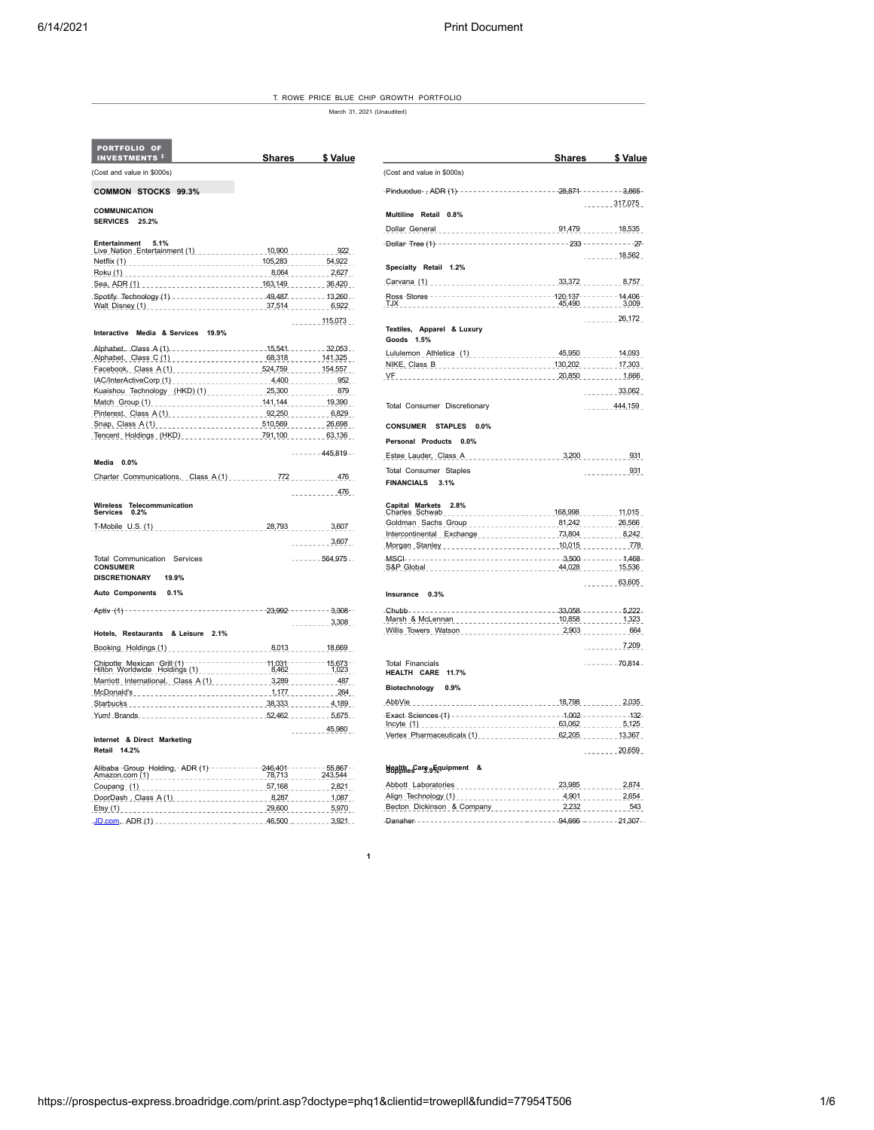T. ROWE PRICE BLUE CHIP GROWTH PORTFOLIO

March 31, 2021 (Unaudited)

| PORTFOLIO OF<br><b>INVESTMENTS #</b>                                                                 | <b>Shares</b> | \$ Value                    |                                                                           | <b>Shares</b> | \$ Value         |
|------------------------------------------------------------------------------------------------------|---------------|-----------------------------|---------------------------------------------------------------------------|---------------|------------------|
| (Cost and value in \$000s)                                                                           |               |                             | (Cost and value in \$000s)                                                |               |                  |
| COMMON STOCKS 99.3%                                                                                  |               |                             | -Pinduoduo-; ADR (1) ----------------------28;871 -------- 3;865-         |               |                  |
| <b>COMMUNICATION</b>                                                                                 |               |                             |                                                                           |               | $-222 - 317,075$ |
| SERVICES 25.2%                                                                                       |               |                             | Multiline Retail 0.8%                                                     |               |                  |
|                                                                                                      |               |                             | Dollar General                                                            |               |                  |
| Entertainment<br>5.1%                                                                                |               |                             |                                                                           |               |                  |
| Live Nation Entertainment (1) ______________ 10,900 _________                                        |               | 922                         |                                                                           |               | 18,562           |
|                                                                                                      |               |                             | Specialty Retail 1.2%                                                     |               |                  |
|                                                                                                      |               |                             |                                                                           |               |                  |
| Sea, ADR (1) __________________________________ 163,149 _________ 36,420                             |               |                             |                                                                           |               |                  |
|                                                                                                      |               |                             |                                                                           |               |                  |
| Walt Disney (1) 6,922                                                                                |               |                             | TJX 3,009                                                                 |               |                  |
|                                                                                                      |               | $\frac{115.073}{115.073}$   |                                                                           |               | $     26,172$    |
| Interactive Media & Services 19.9%                                                                   |               |                             | Textiles, Apparel & Luxury<br>Goods 1.5%                                  |               |                  |
|                                                                                                      |               |                             | Lululemon Athletica (1) _________________ 45,950 ______ 14,093            |               |                  |
| Alphabet, Class C (1) ______________________ 68,318 ______ 141,325                                   |               |                             |                                                                           |               |                  |
| Facebook, Class A(1) _________________524,759 ______ 154,557                                         |               |                             |                                                                           |               |                  |
| IAC/InterActiveCorp.(1) 4.400 4.400 952                                                              |               |                             |                                                                           |               |                  |
| Kuaishou Technology (HKD) (1) ___________ 25,300 _______ 879                                         |               |                             |                                                                           |               | 33,062           |
| Match Group (1) ________________________141,144 ________ 19,390                                      |               |                             | Total Consumer Discretionary                                              |               | $-244.159$       |
| Pinterest, Class A (1) 6,829                                                                         |               |                             |                                                                           |               |                  |
| Snap, Class A (1) ______________________510,569 ________ 26,698                                      |               |                             | CONSUMER STAPLES 0.0%                                                     |               |                  |
| Tencent Holdings (HKD) ________________791,100 _______ 63,136                                        |               |                             | Personal Products 0.0%                                                    |               |                  |
| Media 0.0%                                                                                           |               | $--- - 445,819-$            |                                                                           |               |                  |
|                                                                                                      |               |                             | <b>Total Consumer Staples</b>                                             |               | 931<br>.         |
| Charter Communications. Class A(1) _________772 ________ 476                                         |               |                             | FINANCIALS 3.1%                                                           |               |                  |
|                                                                                                      |               | $100 - 100 = 200$           |                                                                           |               |                  |
| Wireless Telecommunication<br>Services 0.2%                                                          |               |                             | Capital Markets<br>Charles Schwab<br>2.8%                                 |               |                  |
|                                                                                                      |               |                             | Goldman Sachs Group ____________________81,242 ________ 26,566            |               |                  |
|                                                                                                      |               |                             | lntercontinental Exchange 73,804 73,804 8,242                             |               |                  |
|                                                                                                      |               | $     3,607$                |                                                                           |               |                  |
| Total Communication Services                                                                         |               | $    -$ 564,975 $ -$        | MSCI-----------------------------------3.500--------- 1.468-              |               |                  |
| <b>CONSUMER</b>                                                                                      |               |                             | S&P Global 15,536                                                         |               |                  |
| <b>DISCRETIONARY</b><br>19.9%                                                                        |               |                             |                                                                           |               | $    63,605$     |
| Auto Components 0.1%                                                                                 |               |                             | Insurance 0.3%                                                            |               |                  |
|                                                                                                      |               |                             | ---------------------------33,058 -------- 5,222-<br>- Сhubb- - - - - - - |               |                  |
|                                                                                                      |               | $1 - 2 - 1 - 3,308$         |                                                                           |               |                  |
| Hotels, Restaurants & Leisure 2.1%                                                                   |               |                             |                                                                           |               |                  |
| Booking Holdings (1) ________________________8.013 ________ 18.669 __                                |               |                             |                                                                           |               | $     7,209$     |
|                                                                                                      |               |                             | <b>Total Financials</b>                                                   |               | $-----70,814-$   |
|                                                                                                      |               |                             | HEALTH CARE 11.7%                                                         |               |                  |
| Marriott_International, Class A (1) _____________3,289 _________ 487                                 |               |                             | Biotechnology 0.9%                                                        |               |                  |
|                                                                                                      |               |                             |                                                                           |               |                  |
| Starbucks 4,189                                                                                      |               |                             | AbbVie                                                                    |               |                  |
| Yum! Brands52.4625.675                                                                               |               |                             |                                                                           |               |                  |
|                                                                                                      |               | 45,980<br><b>Contractor</b> | Vertex_Pharmaceuticals (1)_________________ 62,205 _______ 13,367         |               |                  |
| Internet & Direct Marketing<br>Retail 14.2%                                                          |               |                             |                                                                           |               | 20,659           |
| -Alibaba - Group - Holding, - ADR (1) - - - - - - - - - - - - - - - 246,401 - - - - - - - - 55,867 - |               |                             |                                                                           |               |                  |
| Amazon.com (1) 243,544                                                                               |               |                             | Stap the Care of Guipment &                                               |               |                  |
| Coupang (1) 2,821                                                                                    |               |                             |                                                                           |               |                  |
| DoorDash, Class A(1) _____________________8,287 _______ 1,087                                        |               |                             |                                                                           |               |                  |
|                                                                                                      |               |                             |                                                                           |               |                  |
|                                                                                                      |               | 3.921                       |                                                                           |               |                  |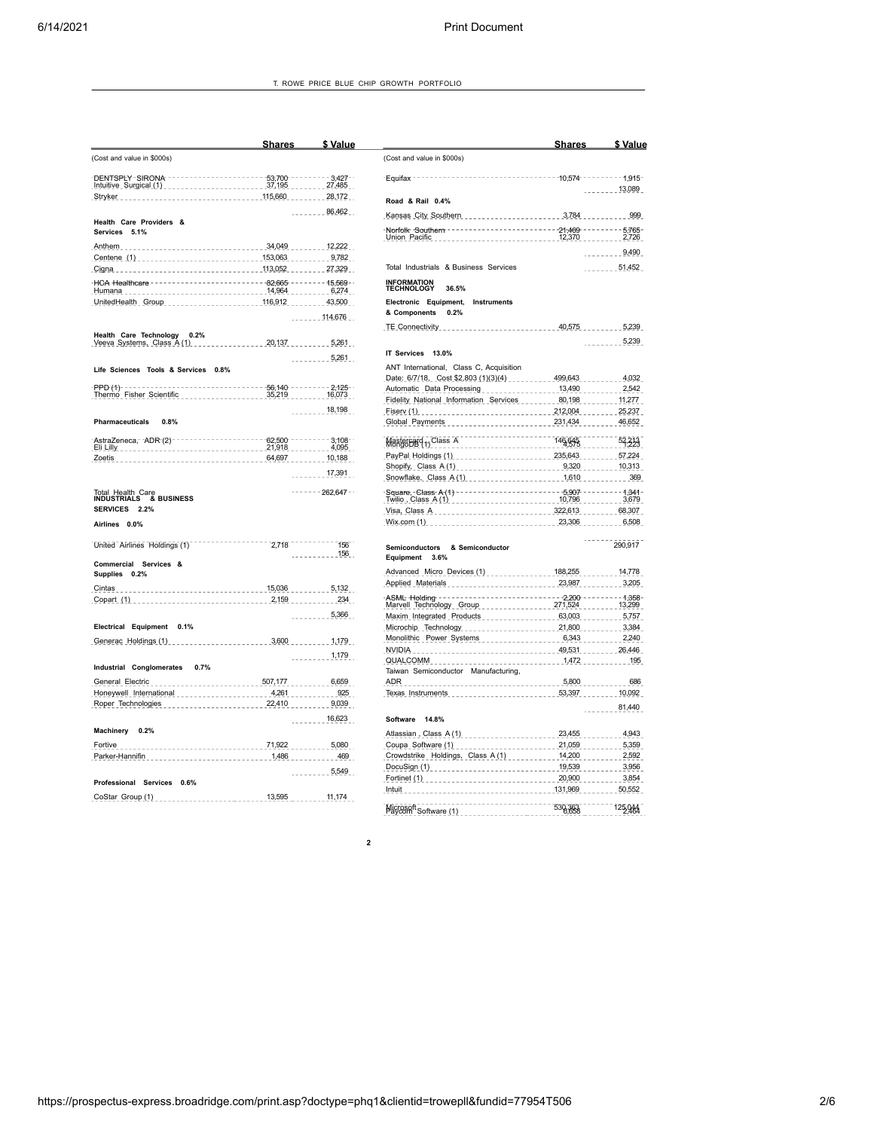|                                                                                                                                           | <b>Shares</b>         | \$ Value                         |                                                              |
|-------------------------------------------------------------------------------------------------------------------------------------------|-----------------------|----------------------------------|--------------------------------------------------------------|
| (Cost and value in \$000s)                                                                                                                |                       |                                  | (Cost and value in \$00                                      |
| DENTSPLY-SIRONA--------------------- 53,700 -------- 3,427--<br>Intuitive_Surgical_(1)_______________________37,195 _________ 27,485      |                       |                                  | $-Equifax------$                                             |
| Stryker __________________________________115,660 ________ 28,172 __                                                                      |                       |                                  | Road & Rail 0.4%                                             |
|                                                                                                                                           |                       | 86,462                           | Kansas City Souther                                          |
| Health Care Providers &<br><b>Services</b><br>5.1%                                                                                        |                       |                                  | -Norfolk -Southern - -<br>Union Pacific                      |
|                                                                                                                                           |                       |                                  |                                                              |
| Centene (1) _________________________________153,063 _______________9,782<br>Cigna                                                        |                       |                                  | Total Industrials & E                                        |
| HCA Healthcare -------------------------82.665 ------- 15.569 -                                                                           |                       |                                  |                                                              |
| Humana                                                                                                                                    |                       |                                  | <b>INFORMATION<br/>TECHNOLOGY</b><br>36.                     |
|                                                                                                                                           |                       | $   114.676$                     | Electronic Equipme<br>& Components<br>0.2                    |
|                                                                                                                                           |                       |                                  | TE Connectivity                                              |
| Health Care Technology<br>0.2%<br>Veeva Systems, Class A (1)                                                                              | $-20,137$ $5,261$     |                                  |                                                              |
|                                                                                                                                           |                       | 5,261                            | IT Services 13.0%                                            |
| Life Sciences Tools & Services 0.8%                                                                                                       |                       |                                  | ANT International, 0                                         |
|                                                                                                                                           |                       |                                  | Date: 6/7/18, Cost !                                         |
| PPD (1)--------------------------------- 56,140 ------- - 2,125 --<br>Thermo Fisher Scientific ____________________35,219 ________ 16,073 |                       |                                  | Automatic Data Pro<br>Fidelity National Info                 |
|                                                                                                                                           |                       | 18,198                           | Fisery $(1)$                                                 |
| <b>Pharmaceuticals</b><br>0.8%                                                                                                            |                       |                                  | Global Payments                                              |
| AstraZeneca, - ADR-(2) - -                                                                                                                | $-------------62,500$ | $-3,108-$                        | Manguent (1) Class /                                         |
|                                                                                                                                           |                       |                                  | PayPal Holdings (1)                                          |
|                                                                                                                                           |                       | $\frac{1}{2}$ = $\frac{17}{291}$ | Shopify, Class A(1)<br>Snowflake, Class A                    |
|                                                                                                                                           |                       | $--- 262,647$                    |                                                              |
| Total Health Care<br>INDUSTRIALS & BUSINESS<br><b>SERVICES</b><br>2.2%                                                                    |                       |                                  | Square, Class A (1)<br>Twilio , Class A (1)<br>Visa, Class A |
| Airlines 0.0%                                                                                                                             |                       |                                  | Wix.com (1)                                                  |
| United Airlines Holdings (1)                                                                                                              | 2.718                 | 156                              | Semiconductors<br>- 8                                        |
| Commercial Services &                                                                                                                     |                       | ------ 156                       | Equipment<br>3.6%                                            |
| Supplies 0.2%                                                                                                                             |                       |                                  | Advanced Micro De                                            |
|                                                                                                                                           |                       |                                  | Applied Materials                                            |
|                                                                                                                                           |                       |                                  | -ASML Holding ----<br>Marvell_Technology_                    |
|                                                                                                                                           |                       | . 5,366                          | Maxim Integrated P                                           |
| Electrical Equipment<br>0.1%                                                                                                              |                       |                                  | Microchip Technolog                                          |
| Generac Holdings (1)                                                                                                                      |                       |                                  | Monolithic Power S                                           |
|                                                                                                                                           |                       | . 1,179. .                       | $N$ VIDIA _ _ _ _ _ _ _ _ _ _<br>QUALCOMM                    |
| Industrial Conglomerates 0.7%                                                                                                             |                       |                                  | Taiwan Semiconduct                                           |
| 507,177 6,659<br>General Electric                                                                                                         |                       |                                  | ADR                                                          |
|                                                                                                                                           |                       |                                  | Texas Instruments                                            |
|                                                                                                                                           |                       |                                  |                                                              |
| Machinery<br>0.2%                                                                                                                         |                       | $   16,623$                      | Software<br>14.8%                                            |
| _________________________________71,922 ______________5,080 __<br>Fortive                                                                 |                       |                                  | Atlassian, Class A (<br>Coupa_Software (1)                   |
| Parker-Hannifin _____________________________1,486 __________ 469 __                                                                      |                       |                                  | Crowdstrike Holding                                          |
|                                                                                                                                           |                       | 5,549                            | DocuSign $(1)$                                               |
| Professional Services 0.6%                                                                                                                |                       |                                  | Fortinet (1)                                                 |
| CoStar_Group (1) __________________________13,595                                                                                         |                       | $-11,174$                        | . Intuit _ _ _ _ _ _ _ _ _ _ _ _                             |

| \$ Value           |                                                                                                                               | Shares         | \$ Value                                  |
|--------------------|-------------------------------------------------------------------------------------------------------------------------------|----------------|-------------------------------------------|
|                    | (Cost and value in \$000s)                                                                                                    |                |                                           |
|                    | -Equifax -                                                                                                                    |                | $-----1.915$                              |
|                    |                                                                                                                               |                | $   13,089$                               |
|                    | Road & Rail 0.4%                                                                                                              |                |                                           |
|                    | Kansas City Southern <b>Communist Communist Communist City</b>                                                                | 3,784          | 999                                       |
|                    | -----------------------21,469 --<br>Norfolk -Southern -<br>Union Pacific                                                      | $   12,370$    | $--- 5,765$<br>2,726<br><b>Contractor</b> |
|                    |                                                                                                                               |                | 9,490                                     |
|                    | Total Industrials & Business Services                                                                                         |                | 51,452                                    |
|                    | <b>INFORMATION<br/>TECHNOLOGY</b><br>36.5%                                                                                    |                |                                           |
|                    | Electronic Equipment,<br>Instruments                                                                                          |                |                                           |
|                    | & Components<br>0.2%                                                                                                          |                |                                           |
|                    | <b>TE Connectivity</b><br><u>.</u>                                                                                            |                | 40,575 5,239                              |
|                    |                                                                                                                               |                | 5,239                                     |
|                    | IT Services 13.0%                                                                                                             |                |                                           |
|                    | ANT International, Class C, Acquisition                                                                                       |                |                                           |
|                    | Date: 6/7/18, Cost \$2,803 (1)(3)(4) ________ 499,643                                                                         |                | 4.032                                     |
|                    | Automatic Data Processing ________________ 13,490 _______ 2,542<br>Fidelity National Information Services 200198 2011/07/2012 |                |                                           |
|                    | Fiserv $(1)$                                                                                                                  | 212,004 25,237 |                                           |
|                    |                                                                                                                               |                | 46,652                                    |
|                    | Mastereard <sub>11</sub> Class A                                                                                              | 146,645        | 52,313                                    |
| $-4,095$<br>10,188 |                                                                                                                               |                |                                           |
|                    |                                                                                                                               |                |                                           |
|                    | Snowflake, Class A (1) 2008 2010 2010 2020 2030 2040 2050 2069 207 208 209                                                    |                |                                           |
|                    |                                                                                                                               | $---5.907$     | $1:341-$<br>3,679                         |
|                    | Visa, Class A                                                                                                                 | 322,613        | $-68,307$                                 |
|                    | Wix.com (1) 23,306                                                                                                            |                | $   6,508$                                |
|                    | <b>Semiconductors</b><br>& Semiconductor                                                                                      |                | 290,917                                   |
|                    | Equipment<br>3.6%                                                                                                             |                |                                           |
|                    | Advanced Micro Devices (1) ____________ 188,255 ______ 14,778                                                                 |                |                                           |
|                    | $23,987$ 3,205<br>Applied Materials                                                                                           |                |                                           |
|                    | ---------------------2,200 -<br>ASML Holding<br>Marvell Technology Group 271,524 13,299                                       |                | $-----4,358$                              |
|                    | Maxim Integrated Products 63,003 5,757                                                                                        |                |                                           |
|                    | Microchip Technology 21,800 21,800 3,384                                                                                      |                |                                           |
|                    |                                                                                                                               |                |                                           |
|                    |                                                                                                                               |                |                                           |
|                    | QUALCOMM<br>-----------------                                                                                                 | $1.472$ 195    |                                           |
|                    | Taiwan Semiconductor Manufacturing,                                                                                           |                |                                           |
|                    | ------------------------- 5,800<br>ADR _                                                                                      |                | 686                                       |
|                    |                                                                                                                               |                |                                           |
|                    |                                                                                                                               |                | 81,440                                    |
|                    | <b>Software</b><br>14.8%                                                                                                      |                |                                           |
|                    | Atlassian, Class A (1) _______________________ 23,455                                                                         |                | 4,943                                     |
|                    |                                                                                                                               |                |                                           |
|                    | Crowdstrike Holdings, Class A (1) _________ 14,200 ______ 2,592                                                               |                |                                           |
|                    | DocuSign (1) ________________________________19,539 ____________3,956                                                         |                |                                           |
|                    | Fortinet (1) 3,854<br>Intuit                                                                                                  |                |                                           |
|                    | .                                                                                                                             | 530363         | 125,944                                   |
|                    | Microsoft Software (1)                                                                                                        |                |                                           |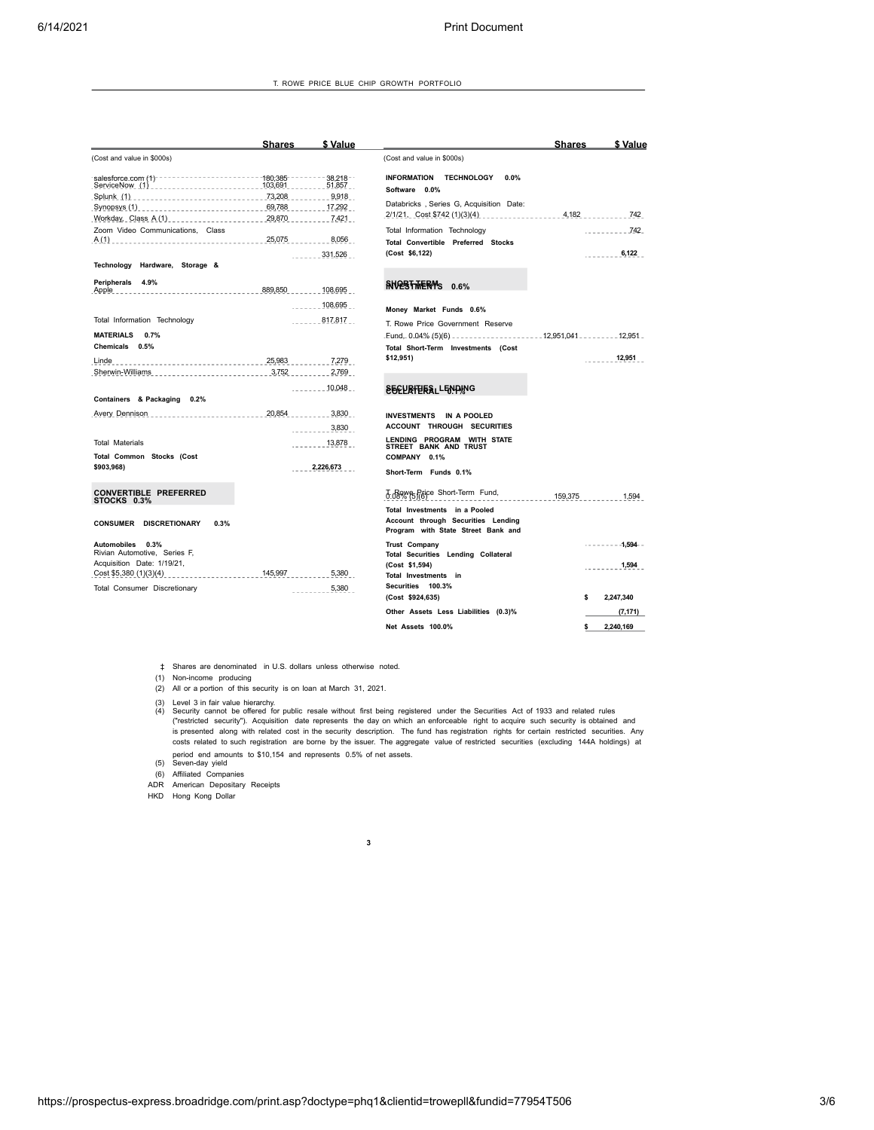T. ROWE PRICE BLUE CHIP GROWTH PORTFOLIO

| <b>Shares</b><br>\$ Value<br><b>Shares</b>                                                                                                                                                                                | \$ Value |
|---------------------------------------------------------------------------------------------------------------------------------------------------------------------------------------------------------------------------|----------|
| (Cost and value in \$000s)<br>(Cost and value in \$000s)                                                                                                                                                                  |          |
| $38.218 - 1$<br>INFORMATION TECHNOLOGY<br>$0.0\%$<br>51,857<br>Software 0.0%<br>Splunk (1) _________________________________73,208<br>9,918                                                                               |          |
| Databricks, Series G, Acquisition Date:<br>Synopsys (1) ____________________________ 69,788<br>. 17,292<br>$4,182$ $742$<br>2/1/21, Cost \$742 (1)(3)(4)<br>29,870<br>7,421<br>Workday, Class A(1) ______________________ |          |
| Zoom Video Communications, Class<br>Total Information Technology                                                                                                                                                          |          |
| 25,075<br>8,056<br><b>Total Convertible Preferred Stocks</b><br>(Cost \$6,122)                                                                                                                                            | 6,122    |
| 331,526<br>.<br>Technology Hardware, Storage &                                                                                                                                                                            |          |
| Peripherals 4.9%<br>RNOPSTWERMS 0.6%<br>889,850 108,695                                                                                                                                                                   |          |
| 108,695<br>$- - - - -$<br>Money Market Funds 0.6%                                                                                                                                                                         |          |
| Total Information Technology<br>817,817<br>T. Rowe Price Government Reserve                                                                                                                                               |          |
| MATERIALS 0.7%<br>Eund, 0.04% (5)(6) _____________________12,951,041 ________ 12,951 _                                                                                                                                    |          |
| Chemicals 0.5%<br>Total Short-Term Investments (Cost                                                                                                                                                                      |          |
| \$12,951)<br>25,983<br>7,279<br>Linde                                                                                                                                                                                     | 12,951   |
| 3,752<br>Sherwin-Williams<br>2,769<br>the contract of the contract of the contract of                                                                                                                                     |          |
| 10,048<br><b>SECURITIESLLENDING</b><br>.<br>Containers & Packaging 0.2%                                                                                                                                                   |          |
| 20,854<br>3,830<br>Avery Dennison<br>INVESTMENTS IN A POOLED<br><b>ACCOUNT THROUGH SECURITIES</b>                                                                                                                         |          |
| 3,830<br>LENDING PROGRAM WITH STATE<br><b>Total Materials</b><br>13,878                                                                                                                                                   |          |
| STREET BANK AND TRUST<br>Total Common Stocks (Cost<br>COMPANY 0.1%                                                                                                                                                        |          |
| 2,226,673<br>\$903,968)<br>Short-Term Funds 0.1%                                                                                                                                                                          |          |
| <b>CONVERTIBLE PREFERRED</b><br>d.downer Price Short-Term Fund,<br>159,375<br>STOCKS 0.3%                                                                                                                                 | 1,594    |
| Total Investments in a Pooled<br>Account through Securities Lending<br><b>CONSUMER DISCRETIONARY</b><br>0.3%<br>Program with State Street Bank and                                                                        |          |
| <b>Trust Company</b><br>$------1,594---$<br>Automobiles 0.3%<br>Rivian Automotive, Series F,<br>Total Securities Lending Collateral<br>Acquisition Date: 1/19/21,                                                         |          |
| (Cost \$1,594)<br>145,997<br>Cost \$5,380 (1)(3)(4)<br>5,380<br>.<br>Total Investments in                                                                                                                                 | 1,594    |
| Securities 100.3%<br>Total Consumer Discretionary<br>5,380<br>(Cost \$924,635)<br>2,247,340<br>\$                                                                                                                         |          |
| Other Assets Less Liabilities (0.3)%                                                                                                                                                                                      | (7, 171) |
| 2,240,169<br>Net Assets 100.0%<br>\$                                                                                                                                                                                      |          |

‡ Shares are denominated in U.S. dollars unless otherwise noted.

(1) Non-income producing

(2) All or a portion of this security is on loan at March 31, 2021.

(3) Level 3 in fair value hierarchy.<br>(4) Security cannot be offered for public resale without first being registered under the Securities Act of 1933 and related rules<br>("restricted security"). Acquisition date represents t costs related to such registration are borne by the issuer. The aggregate value of restricted securities (excluding 144A holdings) at period end amounts to \$10,154 and represents 0.5% of net assets.<br>(6) Seven-day yield<br>(6) Affiliated Companies<br>ADR American Depositary Receipts

HKD Hong Kong Dollar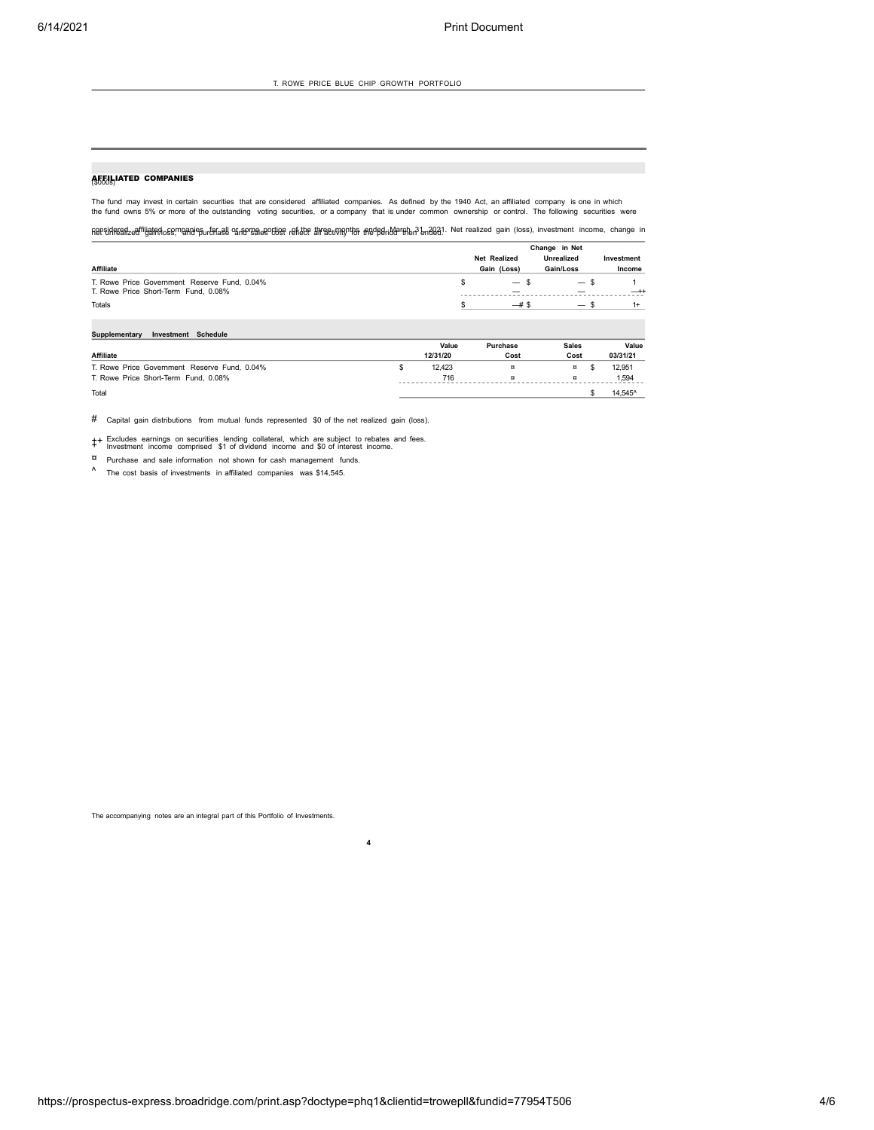## **AFFULLATED COMPANIES**

The fund may invest in certain securities that are considered affiliated companies. As defined by the 1940 Act, an affiliated company is one in which<br>the fund owns 5% or more of the outstanding voting securities, or a c

ନ୍ତା ସମ୍ମାନ୍ୟେନ୍ଦ୍ରଐାଧ୍ୟୁନ୍ନା ଏକ୍ସୋମ୍ୟୁନ୍ସ ଜ୍ୟାତ୍ୟ ଅନ୍ୟର କର୍ମାଣ୍ୟ କରିଥିଲେ କରିଥିଲେ କରିଥିଲେ । Net realized gain (loss), investment income, change in

|                                                                                      | Change in Net       |                                  |                                  |            |  |
|--------------------------------------------------------------------------------------|---------------------|----------------------------------|----------------------------------|------------|--|
|                                                                                      | <b>Net Realized</b> |                                  | <b>Unrealized</b>                | Investment |  |
| <b>Affiliate</b>                                                                     |                     | Gain (Loss)                      | Gain/Loss                        | Income     |  |
| T. Rowe Price Government Reserve Fund, 0.04%<br>T. Rowe Price Short-Term Fund, 0.08% |                     | $\overline{\phantom{m}}$<br>- 39 | $\overline{\phantom{0}}$<br>- 25 | $-+$       |  |
| Totals                                                                               |                     |                                  | $\overline{\phantom{0}}$         | $1+$       |  |

| Investment Schedule<br>Supplementary         |          |          |              |          |
|----------------------------------------------|----------|----------|--------------|----------|
|                                              | Value    | Purchase | <b>Sales</b> | Value    |
| <b>Affiliate</b>                             | 12/31/20 | Cost     | Cost         | 03/31/21 |
| T. Rowe Price Government Reserve Fund, 0.04% | 12.423   | ¤        | ¤            | 12.951   |
| T. Rowe Price Short-Term Fund, 0.08%         | 716      | $\sigma$ | ჾ            | 1,594    |
| Total                                        |          |          |              | 14.545^  |

# Capital gain distributions from mutual funds represented \$0 of the net realized gain (loss).

++ Excludes earnings on securities lending collateral, which are subject to rebates and fees. <sup>+</sup> Investment income comprised \$1 of dividend income and \$0 of interest income.

¤ Purchase and sale information not shown for cash management funds.

^ The cost basis of investments in affiliated companies was \$14,545.

The accompanying notes are an integral part of this Portfolio of Investments.<br>4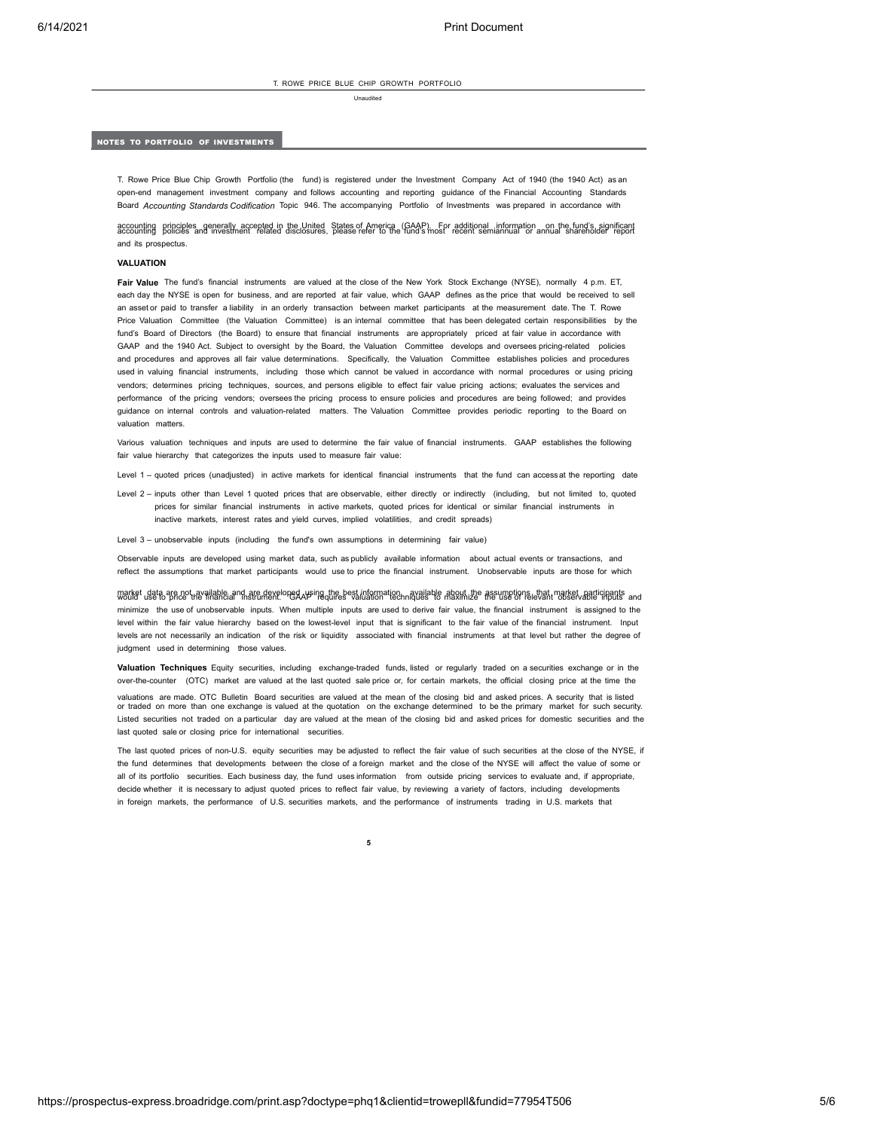T. ROWE PRICE BLUE CHIP GROWTH PORTFOLIO

Unaudited

## NOTES TO PORTFOLIO OF INVESTMENTS

T. Rowe Price Blue Chip Growth Portfolio (the fund) is registered under the Investment Company Act of 1940 (the 1940 Act) as an open-end management investment company and follows accounting and reporting guidance of the Financial Accounting Standards Board *Accounting Standards Codification* Topic 946. The accompanying Portfolio of Investments was prepared in accordance with

accounting pripciples generally accepted in the United States of America (GAAP). For additional information on the fund's significant<br>accounting policies and investment related disclosures, please refer to the funds most r and its prospectus.

## **VALUATION**

Fair Value The fund's financial instruments are valued at the close of the New York Stock Exchange (NYSE), normally 4 p.m. ET,<br>each day the NYSE is open for business, and are reported at fair value, which GAAP defines as t an asset or paid to transfer a liability in an orderly transaction between market participants at the measurement date. The T. Rowe Price Valuation Committee (the Valuation Committee) is an internal committee that has been delegated certain responsibilities by the fund's Board of Directors (the Board) to ensure that financial instruments are appropriately priced at fair value in accordance with GAAP and the 1940 Act. Subject to oversight by the Board, the Valuation Committee develops and oversees pricing-related policies and procedures and approves all fair value determinations. Specifically, the Valuation Committee establishes policies and procedures used in valuing financial instruments, including those which cannot be valued in accordance with normal procedures or using pricing vendors; determines pricing techniques, sources, and persons eligible to effect fair value pricing actions; evaluates the services and performance of the pricing vendors; oversees the pricing process to ensure policies and procedures are being followed; and provides guidance on internal controls and valuation-related matters. The Valuation Committee provides periodic reporting to the Board on valuation matters.

Various valuation techniques and inputs are used to determine the fair value of financial instruments. GAAP establishes the following fair value hierarchy that categorizes the inputs used to measure fair value:

- Level 1 quoted prices (unadjusted) in active markets for identical financial instruments that the fund can accessat the reporting date
- Level 2 inputs other than Level 1 quoted prices that are observable, either directly or indirectly (including, but not limited to, quoted prices for similar financial instruments in active markets, quoted prices for identical or similar financial instruments in inactive markets, interest rates and yield curves, implied volatilities, and credit spreads)

Level 3 – unobservable inputs (including the fund's own assumptions in determining fair value)<br>Observable inputs are developed using market data, such aspublicly available information about actual events or transactions, a

reflect the assumptions that market participants would use to price the financial instrument. Unobservable inputs are those for which

W3Uket usate 30Rd2Ghavailabl&a<sup>an</sup>h sh&hRake!opgAdksingdhe&e\$Ainfanchatia2hn&halkalahl& AB&hh;j2e AB&ugatop@utyahtm3D\$etvaBdEiqiRButs and minimize the use of unobservable inputs. When multiple inputs are used to derive fair value, the financial instrument is assigned to the level within the fair value hierarchy based on the lowest-level input that is significant to the fair value of the financial instrument. Input levels are not necessarily an indication of the risk or liquidity associated with financial instruments at that level but rather the degree of judgment used in determining those values.

**Valuation Techniques** Equity securities, including exchange-traded funds, listed or regularly traded on a securities exchange or in the over-the-counter (OTC) market are valued at the last quoted sale price or, forcertain markets, the official closing price at the time the

valuations are made. OTC Bulletin Board securities are valued at the mean of the closing bid and asked prices. A security that is listed or traded on more than one exchange is valued at the quotation on the exchange determined to be the primary market for such security. Listed securities not traded on a particular day are valued at the mean of the closing bid and asked prices for domestic securities and the last quoted sale or closing price for international securities.

The last quoted prices of non-U.S. equity securities may be adjusted to reflect the fair value of such securities at the close of the NYSE, if the fund determines that developments between the close of a foreign market and the close of the NYSE will affect the value of some or all of its portfolio securities. Each business day, the fund uses information from outside pricing services to evaluate and, if appropriate, decide whether it is necessary to adjust quoted prices to reflect fair value, by reviewing a variety of factors, including developments in foreign markets, the performance of U.S. securities markets, and the performance of instruments trading in U.S. markets that